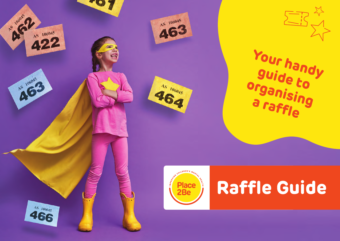









# **Raffle Guide**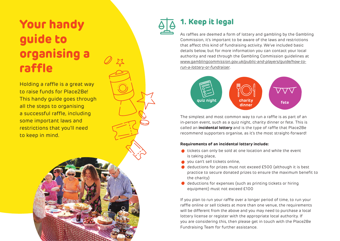## **Your handy guide to organising a raffle**

Holding a raffle is a great way to raise funds for Place2Be! This handy guide goes through all the steps to organising a successful raffle, including some important laws and restrictions that you'll need to keep in mind.



#### **1. Keep it legal**

As raffles are deemed a form of lottery and gambling by the Gambling Commission, it's important to be aware of the laws and restrictions that affect this kind of fundraising activity. We've included basic details below, but for more information you can contact your local authority and read through the Gambling Commission guidelines at *[www.gamblingcommission.gov.uk/public-and-players/guide/how-to](www.gamblingcommission.gov.uk/public-and-players/guide/how-to-run-a-lottery-or-fundraiser)run-a-lottery-or-fundraiser*.



The simplest and most common way to run a raffle is as part of an in-person event, such as a quiz night, charity dinner or fete. This is called an **incidental lottery** and is the type of raffle that Place2Be recommend supporters organise, as it's the most straight-forward!

#### **Requirements of an incidental lottery include:**

- tickets can only be sold at one location and while the event is taking place,
- you can't sell tickets online,
- deductions for prizes must not exceed £500 (although it is best practice to secure donated prizes to ensure the maximum benefit to the charity)
- deductions for expenses (such as printing tickets or hiring equipment) must not exceed £100

If you plan to run your raffle over a longer period of time, to run your raffle online or sell tickets at more than one venue, the requirements will be different from the above and you may need to purchase a local lottery license or register with the appropriate local authority. If you are considering this, then please get in touch with the Place2Be Fundraising Team for further assistance.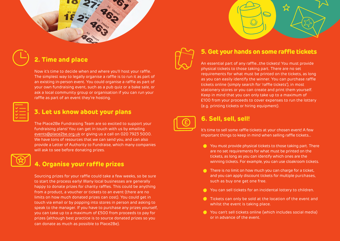

#### **2. Time and place**

Now it's time to decide when and where you'll host your raffle. The simplest way to legally organise a raffle is to run it as part of an existing in-person event. You could organise a raffle as part of your own fundraising event, such as a pub quiz or a bake sale, or ask a local community group or organisation if you can run your raffle as part of an event they're hosting.

| $\mathcal{L}(\mathcal{L})$ and $\mathcal{L}(\mathcal{L})$ and $\mathcal{L}(\mathcal{L})$ and $\mathcal{L}(\mathcal{L})$ and $\mathcal{L}(\mathcal{L})$<br><b>Service Service</b><br>____ |  |
|------------------------------------------------------------------------------------------------------------------------------------------------------------------------------------------|--|
| and the state of the state of the state of                                                                                                                                               |  |
| ____                                                                                                                                                                                     |  |
| _____                                                                                                                                                                                    |  |
| and the contract of the contract of                                                                                                                                                      |  |
|                                                                                                                                                                                          |  |

#### **3. Let us know about your plans**

The Place2Be Fundraising Team are so excited to support your fundraising plans! You can get in touch with us by emailing [events@place2be.org.uk](mailto:events%40place2be.org.uk?subject=) or giving us a call on 020 7923 5000. We have tons of resources that we can send you, and can also provide a Letter of Authority to Fundraise, which many companies will ask to see before donating prizes.



#### **4. Organise your raffle prizes**

Sourcing prizes for your raffle could take a few weeks, so be sure to start the process early! Many local businesses are generally happy to donate prizes for charity raffles. This could be anything from a product, a voucher or tickets to an event (there are no limits on how much donated prizes can cost). You could get in touch via email or by popping into stores in person and asking to speak to the manager. If you have to purchase any prizes yourself, you can take up to a maximum of £500 from proceeds to pay for prizes (although best practice is to source donated prizes so you can donate as much as possible to Place2Be).



#### **5. Get your hands on some raffle tickets**

An essential part of any raffle…the tickets! You must provide physical tickets to those taking part. There are no set requirements for what must be printed on the tickets, as long as you can easily identify the winner. You can purchase raffle tickets online (simply search for 'raffle tickets'), in most stationery stores or you can create and print them yourself. Keep in mind that you can only take up to a maximum of £100 from your proceeds to cover expenses to run the lottery (e.g. printing tickets or hiring equipment).



#### **6. Sell, sell, sell!**

It's time to sell some raffle tickets at your chosen event! A few important things to keep in mind when selling raffle tickets…

- **C** You must provide physical tickets to those taking part. There are no set requirements for what must be printed on the tickets, as long as you can identify which ones are the winning tickets. For example, you can use cloakroom tickets.
- **There is no limit on how much you can charge for a ticket,** and you can apply discount tickets for multiple purchases, such as buy one get one free.
- **C** You can sell tickets for an incidental lottery to children.
- **Tickets can only be sold at the location of the event and** whilst the event is taking place.
- You can't sell tickets online (which includes social media) or in advance of the event.